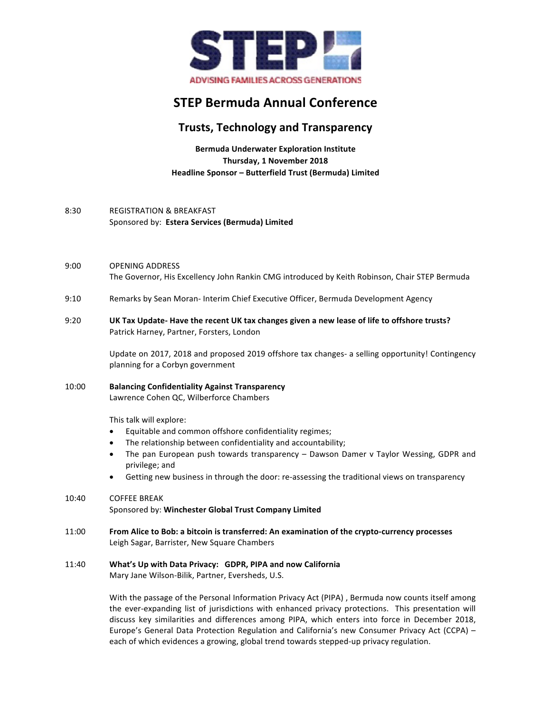

# **STEP Bermuda Annual Conference**

## **Trusts, Technology and Transparency**

**Bermuda Underwater Exploration Institute Thursday, 1 November 2018 Headline Sponsor – Butterfield Trust (Bermuda) Limited**

#### 8:30 REGISTRATION & BREAKFAST Sponsored by: Estera Services (Bermuda) Limited

- 9:00 OPENING ADDRESS The Governor, His Excellency John Rankin CMG introduced by Keith Robinson, Chair STEP Bermuda
- 9:10 Remarks by Sean Moran- Interim Chief Executive Officer, Bermuda Development Agency
- 9:20 **UK Tax Update- Have the recent UK tax changes given a new lease of life to offshore trusts?** Patrick Harney, Partner, Forsters, London

Update on 2017, 2018 and proposed 2019 offshore tax changes- a selling opportunity! Contingency planning for a Corbyn government

10:00 **Balancing Confidentiality Against Transparency** Lawrence Cohen QC, Wilberforce Chambers

This talk will explore:

- Equitable and common offshore confidentiality regimes;
- The relationship between confidentiality and accountability;
- The pan European push towards transparency Dawson Damer v Taylor Wessing, GDPR and privilege; and
- Getting new business in through the door: re-assessing the traditional views on transparency

### 10:40 COFFEE BREAK Sponsored by: Winchester Global Trust Company Limited

11:00 **From Alice to Bob: a bitcoin is transferred: An examination of the crypto-currency processes** Leigh Sagar, Barrister, New Square Chambers

#### 11:40 What's Up with Data Privacy: GDPR, PIPA and now California

Mary Jane Wilson-Bilik, Partner, Eversheds, U.S.

With the passage of the Personal Information Privacy Act (PIPA), Bermuda now counts itself among the ever-expanding list of jurisdictions with enhanced privacy protections. This presentation will discuss key similarities and differences among PIPA, which enters into force in December 2018, Europe's General Data Protection Regulation and California's new Consumer Privacy Act (CCPA) each of which evidences a growing, global trend towards stepped-up privacy regulation.